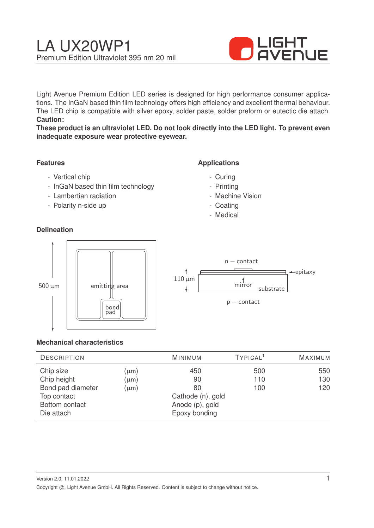

Light Avenue Premium Edition LED series is designed for high performance consumer applications. The InGaN based thin film technology offers high efficiency and excellent thermal behaviour. The LED chip is compatible with silver epoxy, solder paste, solder preform or eutectic die attach. **Caution:**

**These product is an ultraviolet LED. Do not look directly into the LED light. To prevent even inadequate exposure wear protective eyewear.**

### **Features**

- Vertical chip
- InGaN based thin film technology
- Lambertian radiation
- Polarity n-side up

### **Delineation**

### **Applications**

- Curing
- Printing
- Machine Vision
- Coating
- Medical



#### **Mechanical characteristics**

| <b>DESCRIPTION</b> |                 | <b>MINIMUM</b>    | TYPICAL <sup>1</sup> | <b>MAXIMUM</b> |
|--------------------|-----------------|-------------------|----------------------|----------------|
| Chip size          | $(\mu m)$       | 450               | 500                  | 550            |
| Chip height        | $(\mu m)$       | 90                | 110                  | 130            |
| Bond pad diameter  | $(\mu m)$       | 80                | 100                  | 120            |
| Top contact        |                 | Cathode (n), gold |                      |                |
| Bottom contact     | Anode (p), gold |                   |                      |                |
| Die attach         |                 | Epoxy bonding     |                      |                |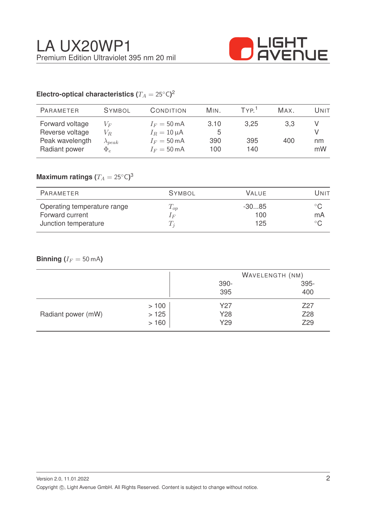

# Electro-optical characteristics ( $T_A = 25^{\circ} \text{C}$ )<sup>2</sup>

| <b>PARAMETER</b>                                                       | <b>SYMBOL</b>                                  | CONDITION                                                                                   | MIN.                    | TYP <sup>1</sup>   | Max.       | Unit     |
|------------------------------------------------------------------------|------------------------------------------------|---------------------------------------------------------------------------------------------|-------------------------|--------------------|------------|----------|
| Forward voltage<br>Reverse voltage<br>Peak wavelength<br>Radiant power | $V_F$<br>$V_R$<br>$\lambda_{peak}$<br>$\Phi_e$ | $I_F = 50 \text{ mA}$<br>$I_R = 10 \mu A$<br>$I_F = 50 \text{ mA}$<br>$I_F = 50 \text{ mA}$ | 3.10<br>5<br>390<br>100 | 3,25<br>395<br>140 | 3,3<br>400 | nm<br>mW |
|                                                                        |                                                |                                                                                             |                         |                    |            |          |

## $\mathsf{Maximum}$  ratings  $(T_A = 25^{\circ} \mathsf{C})^3$

| PARAMETER                   | <b>SYMBOL</b> | <b>VALUE</b> | Unit         |
|-----------------------------|---------------|--------------|--------------|
| Operating temperature range | $T_{op}$      | $-3085$      | $^{\circ}$ C |
| Forward current             | $1_F$         | 100          | mA           |
| Junction temperature        | $T_i$         | 125          | $^{\circ}$ C |

### **Binning** ( $I_F = 50$  mA)

|                    |      |      | WAVELENGTH (NM) |  |
|--------------------|------|------|-----------------|--|
|                    |      | 390- | 395-            |  |
|                    |      | 395  | 400             |  |
| Radiant power (mW) | >100 | Y27  | Z27             |  |
|                    | >125 | Y28  | Z28             |  |
|                    | >160 | Y29  | Z29             |  |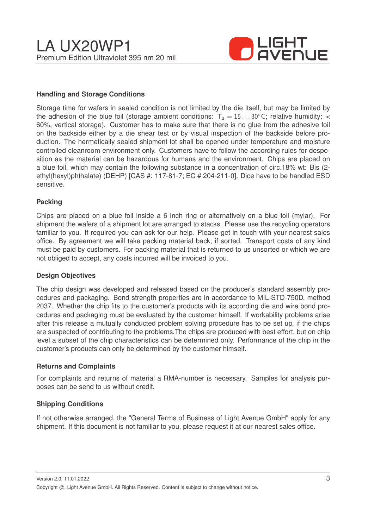

#### **Handling and Storage Conditions**

Storage time for wafers in sealed condition is not limited by the die itself, but may be limited by the adhesion of the blue foil (storage ambient conditions:  $T_a = 15...30^{\circ}$ C; relative humidity: < 60%, vertical storage). Customer has to make sure that there is no glue from the adhesive foil on the backside either by a die shear test or by visual inspection of the backside before production. The hermetically sealed shipment lot shall be opened under temperature and moisture controlled cleanroom environment only. Customers have to follow the according rules for desposition as the material can be hazardous for humans and the environment. Chips are placed on a blue foil, which may contain the following substance in a concentration of circ.18% wt: Bis (2 ethyl(hexyl)phthalate) (DEHP) [CAS #: 117-81-7; EC # 204-211-0]. Dice have to be handled ESD sensitive.

#### **Packing**

Chips are placed on a blue foil inside a 6 inch ring or alternatively on a blue foil (mylar). For shipment the wafers of a shipment lot are arranged to stacks. Please use the recycling operators familiar to you. If required you can ask for our help. Please get in touch with your nearest sales office. By agreement we will take packing material back, if sorted. Transport costs of any kind must be paid by customers. For packing material that is returned to us unsorted or which we are not obliged to accept, any costs incurred will be invoiced to you.

#### **Design Objectives**

The chip design was developed and released based on the producer's standard assembly procedures and packaging. Bond strength properties are in accordance to MIL-STD-750D, method 2037. Whether the chip fits to the customer's products with its according die and wire bond procedures and packaging must be evaluated by the customer himself. If workability problems arise after this release a mutually conducted problem solving procedure has to be set up, if the chips are suspected of contributing to the problems.The chips are produced with best effort, but on chip level a subset of the chip characteristics can be determined only. Performance of the chip in the customer's products can only be determined by the customer himself.

#### **Returns and Complaints**

For complaints and returns of material a RMA-number is necessary. Samples for analysis purposes can be send to us without credit.

#### **Shipping Conditions**

If not otherwise arranged, the "General Terms of Business of Light Avenue GmbH" apply for any shipment. If this document is not familiar to you, please request it at our nearest sales office.

Version 2.0, 11.01.2022 Copyright ©, Light Avenue GmbH. All Rights Reserved. Content is subject to change without notice.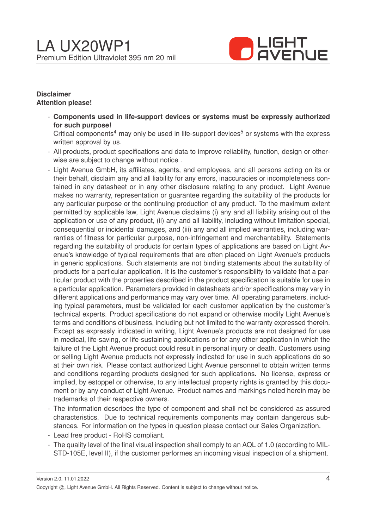

#### **Disclaimer Attention please!**

- **Components used in life-support devices or systems must be expressly authorized for such purpose!**

Critical components<sup>4</sup> may only be used in life-support devices<sup>5</sup> or systems with the express written approval by us.

- All products, product specifications and data to improve reliability, function, design or otherwise are subject to change without notice .
- Light Avenue GmbH, its affiliates, agents, and employees, and all persons acting on its or their behalf, disclaim any and all liability for any errors, inaccuracies or incompleteness contained in any datasheet or in any other disclosure relating to any product. Light Avenue makes no warranty, representation or guarantee regarding the suitability of the products for any particular purpose or the continuing production of any product. To the maximum extent permitted by applicable law, Light Avenue disclaims (i) any and all liability arising out of the application or use of any product, (ii) any and all liability, including without limitation special, consequential or incidental damages, and (iii) any and all implied warranties, including warranties of fitness for particular purpose, non-infringement and merchantability. Statements regarding the suitability of products for certain types of applications are based on Light Avenue's knowledge of typical requirements that are often placed on Light Avenue's products in generic applications. Such statements are not binding statements about the suitability of products for a particular application. It is the customer's responsibility to validate that a particular product with the properties described in the product specification is suitable for use in a particular application. Parameters provided in datasheets and/or specifications may vary in different applications and performance may vary over time. All operating parameters, including typical parameters, must be validated for each customer application by the customer's technical experts. Product specifications do not expand or otherwise modify Light Avenue's terms and conditions of business, including but not limited to the warranty expressed therein. Except as expressly indicated in writing, Light Avenue's products are not designed for use in medical, life-saving, or life-sustaining applications or for any other application in which the failure of the Light Avenue product could result in personal injury or death. Customers using or selling Light Avenue products not expressly indicated for use in such applications do so at their own risk. Please contact authorized Light Avenue personnel to obtain written terms and conditions regarding products designed for such applications. No license, express or implied, by estoppel or otherwise, to any intellectual property rights is granted by this document or by any conduct of Light Avenue. Product names and markings noted herein may be trademarks of their respective owners.
- The information describes the type of component and shall not be considered as assured characteristics. Due to technical requirements components may contain dangerous substances. For information on the types in question please contact our Sales Organization.
- Lead free product RoHS compliant.
- The quality level of the final visual inspection shall comply to an AQL of 1.0 (according to MIL-STD-105E, level II), if the customer performes an incoming visual inspection of a shipment.